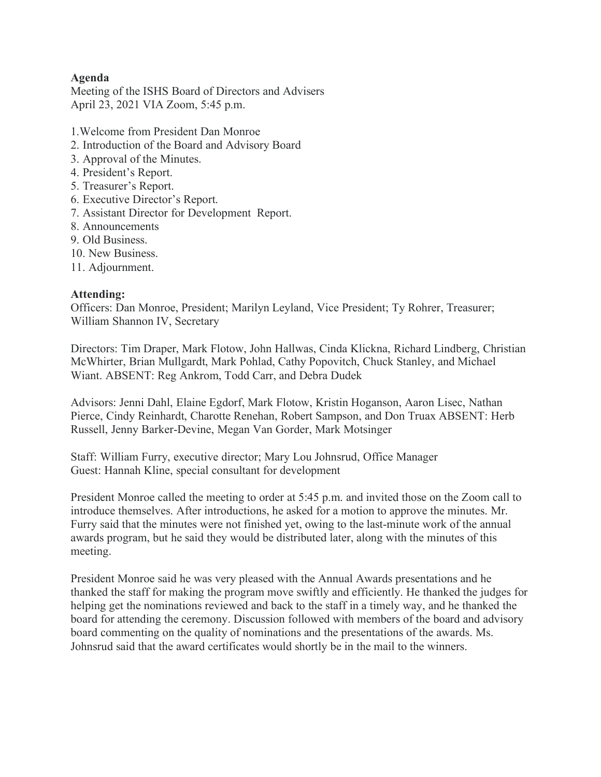# **Agenda**

Meeting of the ISHS Board of Directors and Advisers April 23, 2021 VIA Zoom, 5:45 p.m.

- 1.Welcome from President Dan Monroe
- 2. Introduction of the Board and Advisory Board
- 3. Approval of the Minutes.
- 4. President's Report.
- 5. Treasurer's Report.
- 6. Executive Director's Report.
- 7. Assistant Director for Development Report.
- 8. Announcements
- 9. Old Business.
- 10. New Business.
- 11. Adjournment.

# **Attending:**

Officers: Dan Monroe, President; Marilyn Leyland, Vice President; Ty Rohrer, Treasurer; William Shannon IV, Secretary

Directors: Tim Draper, Mark Flotow, John Hallwas, Cinda Klickna, Richard Lindberg, Christian McWhirter, Brian Mullgardt, Mark Pohlad, Cathy Popovitch, Chuck Stanley, and Michael Wiant. ABSENT: Reg Ankrom, Todd Carr, and Debra Dudek

Advisors: Jenni Dahl, Elaine Egdorf, Mark Flotow, Kristin Hoganson, Aaron Lisec, Nathan Pierce, Cindy Reinhardt, Charotte Renehan, Robert Sampson, and Don Truax ABSENT: Herb Russell, Jenny Barker-Devine, Megan Van Gorder, Mark Motsinger

Staff: William Furry, executive director; Mary Lou Johnsrud, Office Manager Guest: Hannah Kline, special consultant for development

President Monroe called the meeting to order at 5:45 p.m. and invited those on the Zoom call to introduce themselves. After introductions, he asked for a motion to approve the minutes. Mr. Furry said that the minutes were not finished yet, owing to the last-minute work of the annual awards program, but he said they would be distributed later, along with the minutes of this meeting.

President Monroe said he was very pleased with the Annual Awards presentations and he thanked the staff for making the program move swiftly and efficiently. He thanked the judges for helping get the nominations reviewed and back to the staff in a timely way, and he thanked the board for attending the ceremony. Discussion followed with members of the board and advisory board commenting on the quality of nominations and the presentations of the awards. Ms. Johnsrud said that the award certificates would shortly be in the mail to the winners.